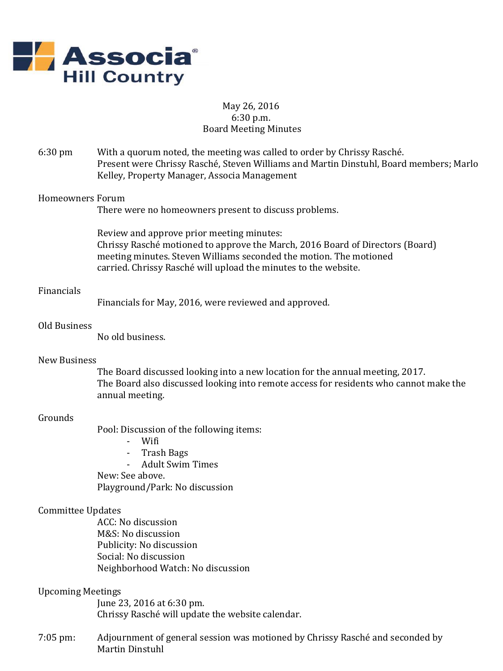

## May 26, 2016 6:30 p.m. Board Meeting Minutes

6:30 pm With a quorum noted, the meeting was called to order by Chrissy Rasché. Present were Chrissy Rasché, Steven Williams and Martin Dinstuhl, Board members; Marlo Kelley, Property Manager, Associa Management

#### Homeowners Forum

There were no homeowners present to discuss problems.

Review and approve prior meeting minutes: Chrissy Rasché motioned to approve the March, 2016 Board of Directors (Board) meeting minutes. Steven Williams seconded the motion. The motioned carried. Chrissy Rasché will upload the minutes to the website.

### Financials

Financials for May, 2016, were reviewed and approved.

#### Old Business

No old business.

#### New Business

The Board discussed looking into a new location for the annual meeting, 2017. The Board also discussed looking into remote access for residents who cannot make the annual meeting.

## Grounds

Pool: Discussion of the following items:

- Wifi
- Trash Bags
- Adult Swim Times

New: See above. Playground/Park: No discussion

## Committee Updates

ACC: No discussion M&S: No discussion Publicity: No discussion Social: No discussion Neighborhood Watch: No discussion

#### Upcoming Meetings

June 23, 2016 at 6:30 pm. Chrissy Rasché will update the website calendar.

7:05 pm: Adjournment of general session was motioned by Chrissy Rasché and seconded by Martin Dinstuhl